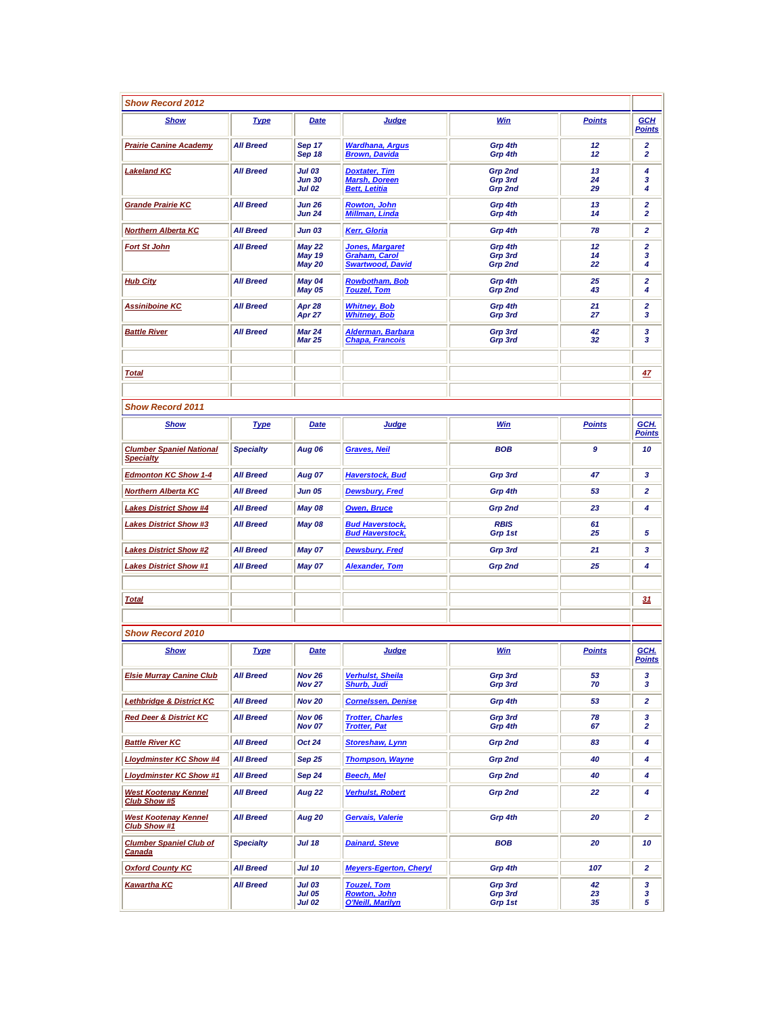| <b>Show Record 2012</b>                             |                  |                                                 |                                                                           |                               |                |                                                    |
|-----------------------------------------------------|------------------|-------------------------------------------------|---------------------------------------------------------------------------|-------------------------------|----------------|----------------------------------------------------|
| Show                                                | <b>Type</b>      | Date                                            | Judge                                                                     | Win                           | <b>Points</b>  | <b>GCH</b><br><b>Points</b>                        |
| <b>Prairie Canine Academy</b>                       | <b>All Breed</b> | Sep 17<br>Sep 18                                | <b>Wardhana, Argus</b><br><b>Brown, Davida</b>                            | Grp 4th<br>Grp 4th            | 12<br>12       | $\overline{\mathbf{2}}$<br>$\overline{\mathbf{2}}$ |
| <b>Lakeland KC</b>                                  | <b>All Breed</b> | <b>Jul 03</b><br><b>Jun 30</b><br><b>Jul 02</b> | <b>Doxtater, Tim</b><br><b>Marsh, Doreen</b><br><b>Bett, Letitia</b>      | Grp 2nd<br>Grp 3rd<br>Grp 2nd | 13<br>24<br>29 | 4<br>3<br>4                                        |
| <b>Grande Prairie KC</b>                            | <b>All Breed</b> | <b>Jun 26</b><br><b>Jun 24</b>                  | <b>Rowton, John</b><br><b>Millman, Linda</b>                              | Grp 4th<br>Grp 4th            | 13<br>14       | $\overline{\mathbf{2}}$<br>$\overline{\mathbf{2}}$ |
| <b>Northern Alberta KC</b>                          | <b>All Breed</b> | <b>Jun 03</b>                                   | Kerr, Gloria                                                              | Grp 4th                       | 78             | $\overline{2}$                                     |
| <b>Fort St John</b>                                 | <b>All Breed</b> | May 22<br><b>May 19</b><br><b>May 20</b>        | <b>Jones, Margaret</b><br><b>Graham, Carol</b><br><b>Swartwood, David</b> | Grp 4th<br>Grp 3rd<br>Grp 2nd | 12<br>14<br>22 | $\overline{\mathbf{2}}$<br>з<br>4                  |
| <b>Hub City</b>                                     | <b>All Breed</b> | May 04<br><b>May 05</b>                         | <b>Rowbotham, Bob</b><br><b>Touzel, Tom</b>                               | Grp 4th<br>Grp 2nd            | 25<br>43       | $\mathbf{z}$<br>4                                  |
| Assiniboine KC                                      | <b>All Breed</b> | Apr 28<br>Apr 27                                | <b>Whitney, Bob</b><br><b>Whitney, Bob</b>                                | Grp 4th<br>Grp 3rd            | 21<br>27       | $\mathbf{z}$<br>з                                  |
| <b>Battle River</b>                                 | <b>All Breed</b> | <b>Mar 24</b><br><b>Mar 25</b>                  | <b>Alderman, Barbara</b><br><b>Chapa, Francois</b>                        | Grp 3rd<br>Grp 3rd            | 42<br>32       | 3<br>3                                             |
|                                                     |                  |                                                 |                                                                           |                               |                |                                                    |
| <b>Total</b>                                        |                  |                                                 |                                                                           |                               |                | 47                                                 |
|                                                     |                  |                                                 |                                                                           |                               |                |                                                    |
| <b>Show Record 2011</b>                             |                  |                                                 |                                                                           |                               |                |                                                    |
| <b>Show</b>                                         | <b>Type</b>      | <b>Date</b>                                     | Judge                                                                     | <b>Win</b>                    | <b>Points</b>  | GCH.<br>Points                                     |
| <b>Clumber Spaniel National</b><br><b>Specialty</b> | <b>Specialty</b> | <b>Aug 06</b>                                   | <b>Graves, Neil</b>                                                       | <b>BOB</b>                    | 9              | 10                                                 |
| <b>Edmonton KC Show 1-4</b>                         | <b>All Breed</b> | <b>Aug 07</b>                                   | <b>Haverstock, Bud</b>                                                    | Grp 3rd                       | 47             | 3                                                  |
| <b>Northern Alberta KC</b>                          | <b>All Breed</b> | <b>Jun 05</b>                                   | <b>Dewsbury, Fred</b>                                                     | Grp 4th                       | 53             | $\mathbf{z}$                                       |
| <b>Lakes District Show #4</b>                       | <b>All Breed</b> | <b>May 08</b>                                   | <b>Owen, Bruce</b>                                                        | Grp 2nd                       | 23             | 4                                                  |
| <b>Lakes District Show #3</b>                       | <b>All Breed</b> | May 08                                          | <b>Bud Haverstock,</b><br><b>Bud Haverstock,</b>                          | <b>RBIS</b><br>Grp 1st        | 61<br>25       | 5                                                  |
| <b>Lakes District Show #2</b>                       | <b>All Breed</b> | May 07                                          | <b>Dewsbury, Fred</b>                                                     | Grp 3rd                       | 21             | 3                                                  |
| <b>Lakes District Show #1</b>                       | <b>All Breed</b> | May 07                                          | <b>Alexander, Tom</b>                                                     | Grp 2nd                       | 25             | 4                                                  |
|                                                     |                  |                                                 |                                                                           |                               |                |                                                    |
| <b>Total</b>                                        |                  |                                                 |                                                                           |                               |                | 31                                                 |
|                                                     |                  |                                                 |                                                                           |                               |                |                                                    |
| <b>Show Record 2010</b>                             |                  |                                                 |                                                                           |                               |                |                                                    |
| <u>Show</u>                                         | <b>Type</b>      | <b>Date</b>                                     | <b>Judge</b>                                                              | <b>Win</b>                    | <b>Points</b>  | GCH.<br><b>Points</b>                              |
| <b>Elsie Murray Canine Club</b>                     | <b>All Breed</b> | <b>Nov 26</b><br><b>Nov 27</b>                  | <b>Verhulst, Sheila</b><br><b>Shurb, Judi</b>                             | Grp 3rd<br>Grp 3rd            | 53<br>70       | 3<br>3                                             |
| <b>Lethbridge &amp; District KC</b>                 | <b>All Breed</b> | <b>Nov 20</b>                                   | <b>Cornelssen, Denise</b>                                                 | Grp 4th                       | 53             | 2                                                  |
| <b>Red Deer &amp; District KC</b>                   | <b>All Breed</b> | <b>Nov 06</b><br><b>Nov 07</b>                  | <b>Trotter, Charles</b><br><b>Trotter, Pat</b>                            | Grp 3rd<br>Grp 4th            | 78<br>67       | 3<br>$\overline{2}$                                |
| <b>Battle River KC</b>                              | <b>All Breed</b> | Oct 24                                          | <b>Storeshaw, Lynn</b>                                                    | Grp 2nd                       | 83             | 4                                                  |
| <b>Lloydminster KC Show #4</b>                      | <b>All Breed</b> | Sep 25                                          | <b>Thompson, Wayne</b>                                                    | Grp 2nd                       | 40             | 4                                                  |
| <b>Lloydminster KC Show #1</b>                      | <b>All Breed</b> | Sep 24                                          | Beech, Mel                                                                | Grp 2nd                       | 40             | 4                                                  |
| <b>West Kootenay Kennel</b><br>Club Show #5         | <b>All Breed</b> | <b>Aug 22</b>                                   | <b>Verhulst, Robert</b>                                                   | Grp 2nd                       | 22             | 4                                                  |
| <b>West Kootenay Kennel</b><br>Club Show #1         | <b>All Breed</b> | Aug 20                                          | Gervais, Valerie                                                          | Grp 4th                       | 20             | 2                                                  |
| <b>Clumber Spaniel Club of</b><br>Canada            | <b>Specialty</b> | <b>Jul 18</b>                                   | <b>Dainard, Steve</b>                                                     | BOB                           | 20             | 10                                                 |
| <b>Oxford County KC</b>                             | <b>All Breed</b> | <b>Jul 10</b>                                   | <b>Meyers-Egerton, Cheryl</b>                                             | Grp 4th                       | 107            | 2                                                  |
| Kawartha KC                                         | <b>All Breed</b> | <b>Jul 03</b><br><b>Jul 05</b><br><b>Jul 02</b> | <b>Touzel, Tom</b><br><b>Rowton, John</b><br><b>O'Neill, Marilyn</b>      | Grp 3rd<br>Grp 3rd<br>Grp 1st | 42<br>23<br>35 | 3<br>3<br>5                                        |
|                                                     |                  |                                                 |                                                                           |                               |                |                                                    |